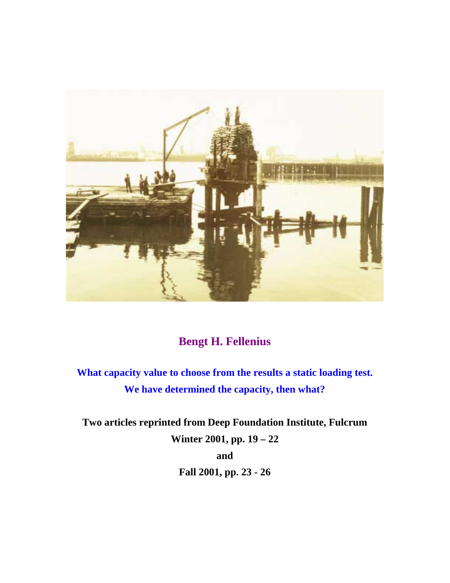

## **Bengt H. Fellenius**

**What capacity value to choose from the results a static loading test. We have determined the capacity, then what?**

**Two articles reprinted from Deep Foundation Institute, Fulcrum Winter 2001, pp. 19 – 22 and Fall 2001, pp. 23 - 26**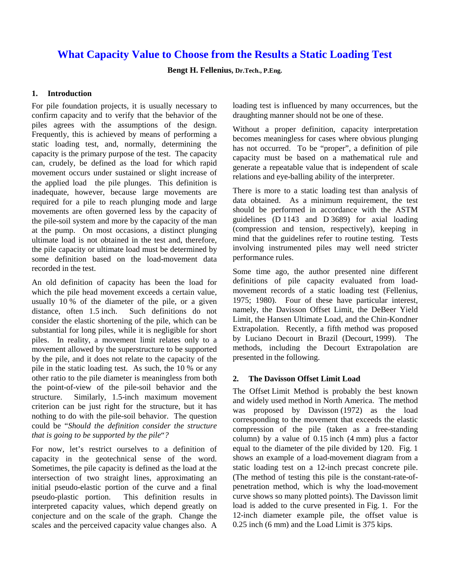## **What Capacity Value to Choose from the Results a Static Loading Test**

**Bengt H. Fellenius, Dr.Tech., P.Eng.** 

## **1. Introduction**

For pile foundation projects, it is usually necessary to confirm capacity and to verify that the behavior of the piles agrees with the assumptions of the design. Frequently, this is achieved by means of performing a static loading test, and, normally, determining the capacity is the primary purpose of the test. The capacity can, crudely, be defined as the load for which rapid movement occurs under sustained or slight increase of the applied load—the pile plunges. This definition is inadequate, however, because large movements are required for a pile to reach plunging mode and large movements are often governed less by the capacity of the pile-soil system and more by the capacity of the man at the pump. On most occasions, a distinct plunging ultimate load is not obtained in the test and, therefore, the pile capacity or ultimate load must be determined by some definition based on the load-movement data recorded in the test.

An old definition of capacity has been the load for which the pile head movement exceeds a certain value, usually 10 % of the diameter of the pile, or a given distance, often 1.5 inch. Such definitions do not consider the elastic shortening of the pile, which can be substantial for long piles, while it is negligible for short piles. In reality, a movement limit relates only to a movement allowed by the superstructure to be supported by the pile, and it does not relate to the capacity of the pile in the static loading test. As such, the 10 % or any other ratio to the pile diameter is meaningless from both the point-of-view of the pile-soil behavior and the structure. Similarly, 1.5-inch maximum movement criterion can be just right for the structure, but it has nothing to do with the pile-soil behavior. The question could be "*Should the definition consider the structure that is going to be supported by the pile*"*?*

For now, let's restrict ourselves to a definition of capacity in the geotechnical sense of the word. Sometimes, the pile capacity is defined as the load at the intersection of two straight lines, approximating an initial pseudo-elastic portion of the curve and a final pseudo-plastic portion. This definition results in interpreted capacity values, which depend greatly on conjecture and on the scale of the graph. Change the scales and the perceived capacity value changes also. A loading test is influenced by many occurrences, but the draughting manner should not be one of these.

Without a proper definition, capacity interpretation becomes meaningless for cases where obvious plunging has not occurred. To be "proper", a definition of pile capacity must be based on a mathematical rule and generate a repeatable value that is independent of scale relations and eye-balling ability of the interpreter.

There is more to a static loading test than analysis of data obtained. As a minimum requirement, the test should be performed in accordance with the ASTM guidelines (D 1143 and D 3689) for axial loading (compression and tension, respectively), keeping in mind that the guidelines refer to routine testing. Tests involving instrumented piles may well need stricter performance rules.

Some time ago, the author presented nine different definitions of pile capacity evaluated from loadmovement records of a static loading test (Fellenius, 1975; 1980). Four of these have particular interest, namely, the Davisson Offset Limit, the DeBeer Yield Limit, the Hansen Ultimate Load, and the Chin-Kondner Extrapolation. Recently, a fifth method was proposed by Luciano Decourt in Brazil (Decourt, 1999). The methods, including the Decourt Extrapolation are presented in the following.

## **2. The Davisson Offset Limit Load**

The Offset Limit Method is probably the best known and widely used method in North America. The method was proposed by Davisson (1972) as the load corresponding to the movement that exceeds the elastic compression of the pile (taken as a free-standing column) by a value of 0.15 inch (4 mm) plus a factor equal to the diameter of the pile divided by 120. Fig. 1 shows an example of a load-movement diagram from a static loading test on a 12-inch precast concrete pile. (The method of testing this pile is the constant-rate-ofpenetration method, which is why the load-movement curve shows so many plotted points). The Davisson limit load is added to the curve presented in Fig. 1. For the 12-inch diameter example pile, the offset value is 0.25 inch (6 mm) and the Load Limit is 375 kips.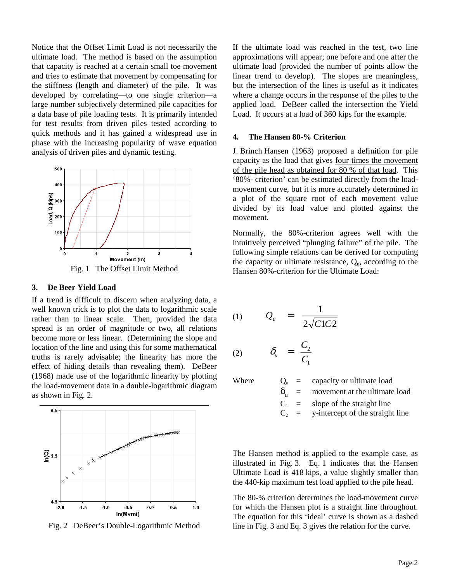Notice that the Offset Limit Load is not necessarily the ultimate load. The method is based on the assumption that capacity is reached at a certain small toe movement and tries to estimate that movement by compensating for the stiffness (length and diameter) of the pile. It was developed by correlating—to one single criterion—a large number subjectively determined pile capacities for a data base of pile loading tests. It is primarily intended for test results from driven piles tested according to quick methods and it has gained a widespread use in phase with the increasing popularity of wave equation analysis of driven piles and dynamic testing.



#### Fig. 1 The Offset Limit Method

## **3. De Beer Yield Load**

If a trend is difficult to discern when analyzing data, a well known trick is to plot the data to logarithmic scale rather than to linear scale. Then, provided the data spread is an order of magnitude or two, all relations become more or less linear. (Determining the slope and location of the line and using this for some mathematical truths is rarely advisable; the linearity has more the effect of hiding details than revealing them). DeBeer (1968) made use of the logarithmic linearity by plotting the load-movement data in a double-logarithmic diagram as shown in Fig. 2.



Fig. 2 DeBeer's Double-Logarithmic Method

If the ultimate load was reached in the test, two line approximations will appear; one before and one after the ultimate load (provided the number of points allow the linear trend to develop). The slopes are meaningless, but the intersection of the lines is useful as it indicates where a change occurs in the response of the piles to the applied load. DeBeer called the intersection the Yield Load. It occurs at a load of 360 kips for the example.

#### **4. The Hansen 80-% Criterion**

J. Brinch Hansen (1963) proposed a definition for pile capacity as the load that gives four times the movement of the pile head as obtained for 80 % of that load. This '80%- criterion' can be estimated directly from the loadmovement curve, but it is more accurately determined in a plot of the square root of each movement value divided by its load value and plotted against the movement.

Normally, the 80%-criterion agrees well with the intuitively perceived "plunging failure" of the pile. The following simple relations can be derived for computing the capacity or ultimate resistance,  $Q<sub>u</sub>$ , according to the Hansen 80%-criterion for the Ultimate Load:

$$
(1) \qquad Q_u = \frac{1}{2\sqrt{C1C2}}
$$

$$
(2) \qquad \delta_u = \frac{C_2}{C_1}
$$

Where  $Q_u = \text{capacity or ultimate load}$ <br>  $\delta_u = \text{ movement at the ultimate}$  $\delta_{u}$  = movement at the ultimate load<br>  $C_1$  = slope of the straight line<br>  $C_2$  = y-intercept of the straight line  $=$  slope of the straight line

y-intercept of the straight line

The Hansen method is applied to the example case, as illustrated in Fig. 3. Eq. 1 indicates that the Hansen Ultimate Load is 418 kips, a value slightly smaller than the 440-kip maximum test load applied to the pile head.

The 80-% criterion determines the load-movement curve for which the Hansen plot is a straight line throughout. The equation for this 'ideal' curve is shown as a dashed line in Fig. 3 and Eq. 3 gives the relation for the curve.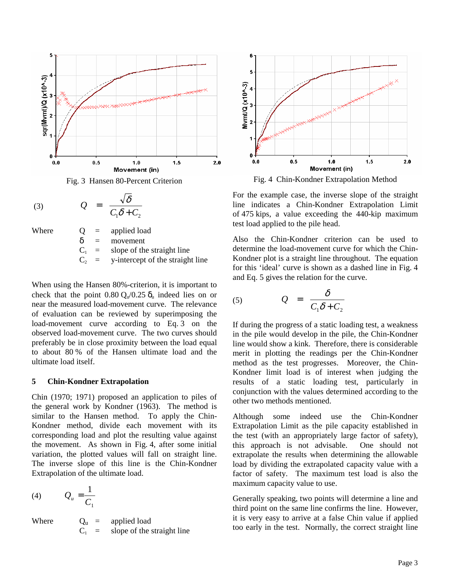

Fig. 3 Hansen 80-Percent Criterion

$$
(3) \hspace{1cm} Q = \frac{\sqrt{\delta}}{C_1 \delta + C_2}
$$

Where  $Q =$  applied load  $\delta$  = movement<br>  $C_1$  = slope of the<br>  $C_2$  = y-intercept slope of the straight line

y-intercept of the straight line

When using the Hansen 80%-criterion, it is important to check that the point  $0.80 \, \text{Q}_{u}/0.25 \, \delta_u$  indeed lies on or near the measured load-movement curve. The relevance of evaluation can be reviewed by superimposing the load-movement curve according to Eq. 3 on the observed load-movement curve. The two curves should preferably be in close proximity between the load equal to about 80 % of the Hansen ultimate load and the ultimate load itself.

## **5 Chin-Kondner Extrapolation**

Chin (1970; 1971) proposed an application to piles of the general work by Kondner (1963). The method is similar to the Hansen method. To apply the Chin-Kondner method, divide each movement with its corresponding load and plot the resulting value against the movement. As shown in Fig. 4, after some initial variation, the plotted values will fall on straight line. The inverse slope of this line is the Chin-Kondner Extrapolation of the ultimate load.

$$
(4) \qquad Q_u = \frac{1}{C_1}
$$

Where  $Q_u = \text{applied load}$ <br> $C_1 = \text{slope of the s}$ slope of the straight line



Fig. 4 Chin-Kondner Extrapolation Method

For the example case, the inverse slope of the straight line indicates a Chin-Kondner Extrapolation Limit of 475 kips, a value exceeding the 440-kip maximum test load applied to the pile head.

Also the Chin-Kondner criterion can be used to determine the load-movement curve for which the Chin-Kondner plot is a straight line throughout. The equation for this 'ideal' curve is shown as a dashed line in Fig. 4 and Eq. 5 gives the relation for the curve.

$$
(5) \hspace{1cm} Q = \frac{\delta}{C_1 \delta + C_2}
$$

If during the progress of a static loading test, a weakness in the pile would develop in the pile, the Chin-Kondner line would show a kink. Therefore, there is considerable merit in plotting the readings per the Chin-Kondner method as the test progresses. Moreover, the Chin-Kondner limit load is of interest when judging the results of a static loading test, particularly in conjunction with the values determined according to the other two methods mentioned.

Although some indeed use the Chin-Kondner Extrapolation Limit as the pile capacity established in the test (with an appropriately large factor of safety), this approach is not advisable. One should not extrapolate the results when determining the allowable load by dividing the extrapolated capacity value with a factor of safety. The maximum test load is also the maximum capacity value to use.

Generally speaking, two points will determine a line and third point on the same line confirms the line. However, it is very easy to arrive at a false Chin value if applied too early in the test. Normally, the correct straight line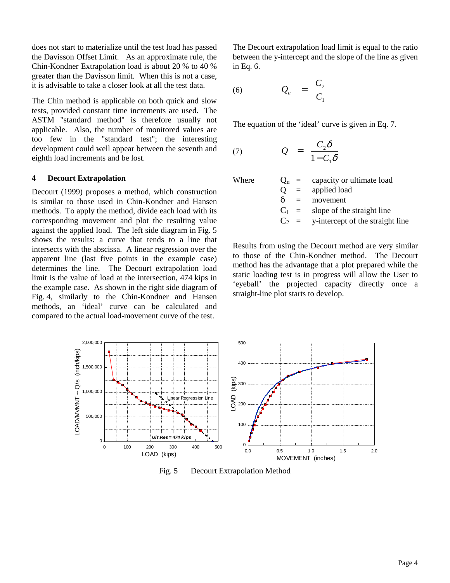does not start to materialize until the test load has passed the Davisson Offset Limit. As an approximate rule, the Chin-Kondner Extrapolation load is about 20 % to 40 % greater than the Davisson limit. When this is not a case, it is advisable to take a closer look at all the test data.

The Chin method is applicable on both quick and slow tests, provided constant time increments are used. The ASTM "standard method" is therefore usually not applicable. Also, the number of monitored values are too few in the "standard test"; the interesting development could well appear between the seventh and eighth load increments and be lost.

## **4 Decourt Extrapolation**

Decourt (1999) proposes a method, which construction is similar to those used in Chin-Kondner and Hansen methods. To apply the method, divide each load with its corresponding movement and plot the resulting value against the applied load. The left side diagram in Fig. 5 shows the results: a curve that tends to a line that intersects with the abscissa. A linear regression over the apparent line (last five points in the example case) determines the line. The Decourt extrapolation load limit is the value of load at the intersection, 474 kips in the example case. As shown in the right side diagram of Fig. 4, similarly to the Chin-Kondner and Hansen methods, an 'ideal' curve can be calculated and compared to the actual load-movement curve of the test.

The Decourt extrapolation load limit is equal to the ratio between the y-intercept and the slope of the line as given in Eq. 6.

$$
(6) \hspace{1cm} Q_u \hspace{2cm} = \hspace{2cm} \frac{C_2}{C_1}
$$

The equation of the 'ideal' curve is given in Eq. 7.

$$
(7) \hspace{1cm} Q = \frac{C_2 \delta}{1 - C_1 \delta}
$$

Where  $Q_{\text{u}} = \text{capacity or ultimate load}$ 

| . | ~□         | $\alpha$                                 |
|---|------------|------------------------------------------|
|   | $\Omega$   | $=$ applied load                         |
|   | $\delta =$ | movement                                 |
|   |            | $C_1$ = slope of the straight line       |
|   |            | $C_2$ = y-intercept of the straight line |

Results from using the Decourt method are very similar to those of the Chin-Kondner method. The Decourt method has the advantage that a plot prepared while the static loading test is in progress will allow the User to 'eyeball' the projected capacity directly once a straight-line plot starts to develop.



Fig. 5 Decourt Extrapolation Method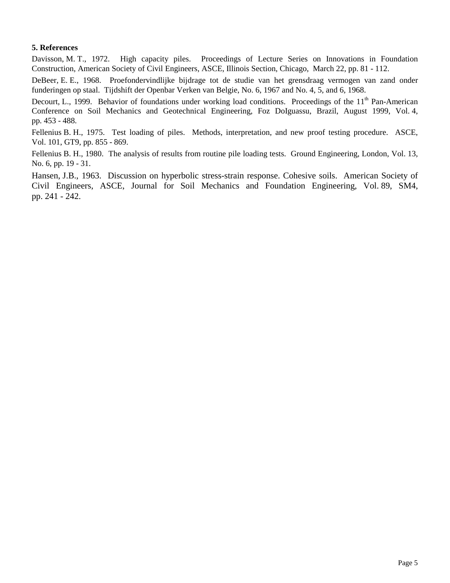## **5. References**

Davisson, M. T., 1972. High capacity piles. Proceedings of Lecture Series on Innovations in Foundation Construction, American Society of Civil Engineers, ASCE, Illinois Section, Chicago, March 22, pp. 81 - 112.

DeBeer, E. E., 1968. Proefondervindlijke bijdrage tot de studie van het grensdraag vermogen van zand onder funderingen op staal. Tijdshift der Openbar Verken van Belgie, No. 6, 1967 and No. 4, 5, and 6, 1968.

Decourt, L., 1999. Behavior of foundations under working load conditions. Proceedings of the  $11<sup>th</sup>$  Pan-American Conference on Soil Mechanics and Geotechnical Engineering, Foz DoIguassu, Brazil, August 1999, Vol. 4, pp. 453 - 488.

Fellenius B. H., 1975. Test loading of piles. Methods, interpretation, and new proof testing procedure. ASCE, Vol. 101, GT9, pp. 855 - 869.

Fellenius B. H., 1980. The analysis of results from routine pile loading tests. Ground Engineering, London, Vol. 13, No. 6, pp. 19 - 31.

Hansen, J.B., 1963. Discussion on hyperbolic stress-strain response. Cohesive soils. American Society of Civil Engineers, ASCE, Journal for Soil Mechanics and Foundation Engineering, Vol. 89, SM4, pp. 241 - 242.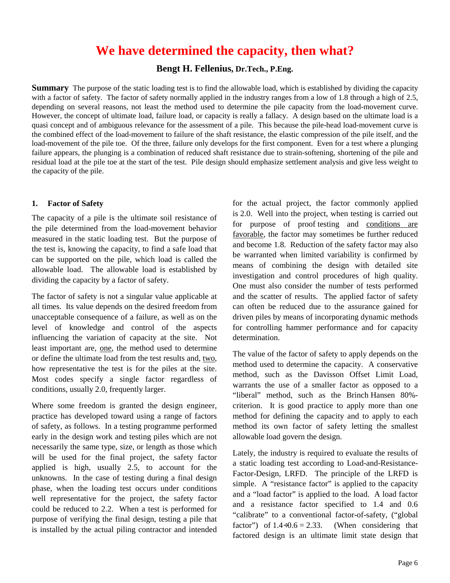# **We have determined the capacity, then what?**

**Bengt H. Fellenius, Dr.Tech., P.Eng.**

**Summary** The purpose of the static loading test is to find the allowable load, which is established by dividing the capacity with a factor of safety. The factor of safety normally applied in the industry ranges from a low of 1.8 through a high of 2.5, depending on several reasons, not least the method used to determine the pile capacity from the load-movement curve. However, the concept of ultimate load, failure load, or capacity is really a fallacy. A design based on the ultimate load is a quasi concept and of ambiguous relevance for the assessment of a pile. This because the pile-head load-movement curve is the combined effect of the load-movement to failure of the shaft resistance, the elastic compression of the pile itself, and the load-movement of the pile toe. Of the three, failure only develops for the first component. Even for a test where a plunging failure appears, the plunging is a combination of reduced shaft resistance due to strain-softening, shortening of the pile and residual load at the pile toe at the start of the test. Pile design should emphasize settlement analysis and give less weight to the capacity of the pile.

## **1. Factor of Safety**

The capacity of a pile is the ultimate soil resistance of the pile determined from the load-movement behavior measured in the static loading test. But the purpose of the test is, knowing the capacity, to find a safe load that can be supported on the pile, which load is called the allowable load. The allowable load is established by dividing the capacity by a factor of safety.

The factor of safety is not a singular value applicable at all times. Its value depends on the desired freedom from unacceptable consequence of a failure, as well as on the level of knowledge and control of the aspects influencing the variation of capacity at the site. Not least important are, one, the method used to determine or define the ultimate load from the test results and, two, how representative the test is for the piles at the site. Most codes specify a single factor regardless of conditions, usually 2.0, frequently larger.

Where some freedom is granted the design engineer, practice has developed toward using a range of factors of safety, as follows. In a testing programme performed early in the design work and testing piles which are not necessarily the same type, size, or length as those which will be used for the final project, the safety factor applied is high, usually 2.5, to account for the unknowns. In the case of testing during a final design phase, when the loading test occurs under conditions well representative for the project, the safety factor could be reduced to 2.2. When a test is performed for purpose of verifying the final design, testing a pile that is installed by the actual piling contractor and intended for the actual project, the factor commonly applied is 2.0. Well into the project, when testing is carried out for purpose of proof testing and conditions are favorable, the factor may sometimes be further reduced and become 1.8. Reduction of the safety factor may also be warranted when limited variability is confirmed by means of combining the design with detailed site investigation and control procedures of high quality. One must also consider the number of tests performed and the scatter of results. The applied factor of safety can often be reduced due to the assurance gained for driven piles by means of incorporating dynamic methods for controlling hammer performance and for capacity determination.

The value of the factor of safety to apply depends on the method used to determine the capacity. A conservative method, such as the Davisson Offset Limit Load, warrants the use of a smaller factor as opposed to a "liberal" method, such as the Brinch Hansen 80% criterion. It is good practice to apply more than one method for defining the capacity and to apply to each method its own factor of safety letting the smallest allowable load govern the design.

Lately, the industry is required to evaluate the results of a static loading test according to Load-and-Resistance-Factor-Design, LRFD. The principle of the LRFD is simple. A "resistance factor" is applied to the capacity and a "load factor" is applied to the load. A load factor and a resistance factor specified to 1.4 and 0.6 "calibrate" to a conventional factor-of-safety, ("global factor") of  $1.4 \div 0.6 = 2.33$ . (When considering that factored design is an ultimate limit state design that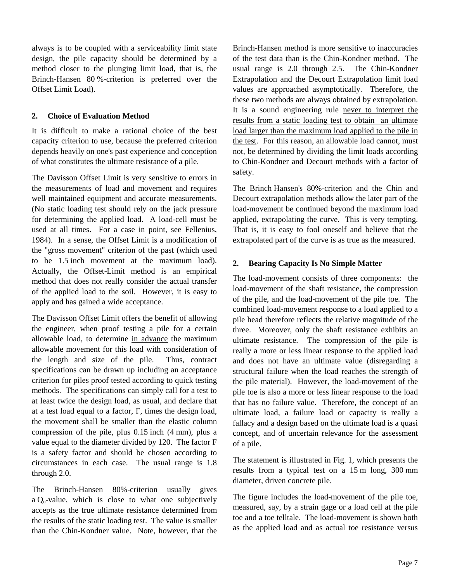always is to be coupled with a serviceability limit state design, the pile capacity should be determined by a method closer to the plunging limit load, that is, the Brinch-Hansen 80 %-criterion is preferred over the Offset Limit Load).

## **2. Choice of Evaluation Method**

It is difficult to make a rational choice of the best capacity criterion to use, because the preferred criterion depends heavily on one's past experience and conception of what constitutes the ultimate resistance of a pile.

The Davisson Offset Limit is very sensitive to errors in the measurements of load and movement and requires well maintained equipment and accurate measurements. (No static loading test should rely on the jack pressure for determining the applied load. A load-cell must be used at all times. For a case in point, see Fellenius, 1984). In a sense, the Offset Limit is a modification of the "gross movement" criterion of the past (which used to be 1.5 inch movement at the maximum load). Actually, the Offset-Limit method is an empirical method that does not really consider the actual transfer of the applied load to the soil. However, it is easy to apply and has gained a wide acceptance.

The Davisson Offset Limit offers the benefit of allowing the engineer, when proof testing a pile for a certain allowable load, to determine in advance the maximum allowable movement for this load with consideration of the length and size of the pile. Thus, contract specifications can be drawn up including an acceptance criterion for piles proof tested according to quick testing methods. The specifications can simply call for a test to at least twice the design load, as usual, and declare that at a test load equal to a factor, F, times the design load, the movement shall be smaller than the elastic column compression of the pile, plus 0.15 inch (4 mm), plus a value equal to the diameter divided by 120. The factor F is a safety factor and should be chosen according to circumstances in each case. The usual range is 1.8 through 2.0.

The Brinch-Hansen 80%-criterion usually gives a  $Q<sub>u</sub>$ -value, which is close to what one subjectively accepts as the true ultimate resistance determined from the results of the static loading test. The value is smaller than the Chin-Kondner value. Note, however, that the

Brinch-Hansen method is more sensitive to inaccuracies of the test data than is the Chin-Kondner method. The usual range is 2.0 through 2.5. The Chin-Kondner Extrapolation and the Decourt Extrapolation limit load values are approached asymptotically. Therefore, the these two methods are always obtained by extrapolation. It is a sound engineering rule never to interpret the results from a static loading test to obtain an ultimate load larger than the maximum load applied to the pile in the test. For this reason, an allowable load cannot, must not, be determined by dividing the limit loads according to Chin-Kondner and Decourt methods with a factor of safety.

The Brinch Hansen's 80%-criterion and the Chin and Decourt extrapolation methods allow the later part of the load-movement be continued beyond the maximum load applied, extrapolating the curve. This is very tempting. That is, it is easy to fool oneself and believe that the extrapolated part of the curve is as true as the measured.

## **2. Bearing Capacity Is No Simple Matter**

The load-movement consists of three components: the load-movement of the shaft resistance, the compression of the pile, and the load-movement of the pile toe. The combined load-movement response to a load applied to a pile head therefore reflects the relative magnitude of the three. Moreover, only the shaft resistance exhibits an ultimate resistance. The compression of the pile is really a more or less linear response to the applied load and does not have an ultimate value (disregarding a structural failure when the load reaches the strength of the pile material). However, the load-movement of the pile toe is also a more or less linear response to the load that has no failure value. Therefore, the concept of an ultimate load, a failure load or capacity is really a fallacy and a design based on the ultimate load is a quasi concept, and of uncertain relevance for the assessment of a pile.

The statement is illustrated in Fig. 1, which presents the results from a typical test on a 15 m long, 300 mm diameter, driven concrete pile.

The figure includes the load-movement of the pile toe, measured, say, by a strain gage or a load cell at the pile toe and a toe telltale. The load-movement is shown both as the applied load and as actual toe resistance versus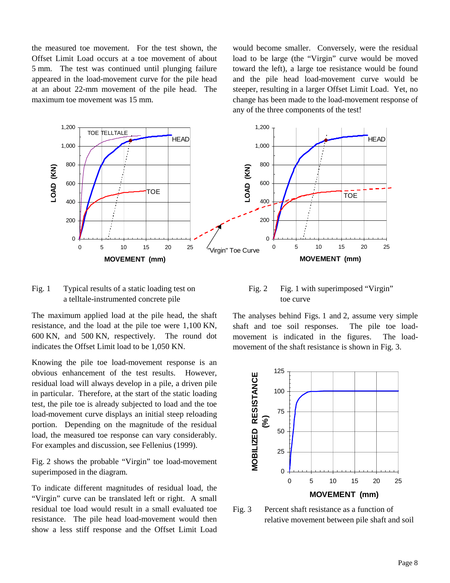the measured toe movement. For the test shown, the Offset Limit Load occurs at a toe movement of about 5 mm. The test was continued until plunging failure appeared in the load-movement curve for the pile head at an about 22-mm movement of the pile head. The maximum toe movement was 15 mm.

would become smaller. Conversely, were the residual load to be large (the "Virgin" curve would be moved toward the left), a large toe resistance would be found and the pile head load-movement curve would be steeper, resulting in a larger Offset Limit Load. Yet, no change has been made to the load-movement response of any of the three components of the test!



## Fig. 1 Typical results of a static loading test on a telltale-instrumented concrete pile

The maximum applied load at the pile head, the shaft resistance, and the load at the pile toe were 1,100 KN, 600 KN, and 500 KN, respectively. The round dot indicates the Offset Limit load to be 1,050 KN.

Knowing the pile toe load-movement response is an obvious enhancement of the test results. However, residual load will always develop in a pile, a driven pile in particular. Therefore, at the start of the static loading test, the pile toe is already subjected to load and the toe load-movement curve displays an initial steep reloading portion. Depending on the magnitude of the residual load, the measured toe response can vary considerably. For examples and discussion, see Fellenius (1999).

Fig. 2 shows the probable "Virgin" toe load-movement superimposed in the diagram.

To indicate different magnitudes of residual load, the "Virgin" curve can be translated left or right. A small residual toe load would result in a small evaluated toe resistance. The pile head load-movement would then show a less stiff response and the Offset Limit Load

## Fig. 2 Fig. 1 with superimposed "Virgin" toe curve

The analyses behind Figs. 1 and 2, assume very simple shaft and toe soil responses. The pile toe loadmovement is indicated in the figures. The loadmovement of the shaft resistance is shown in Fig. 3.



Fig. 3 Percent shaft resistance as a function of relative movement between pile shaft and soil